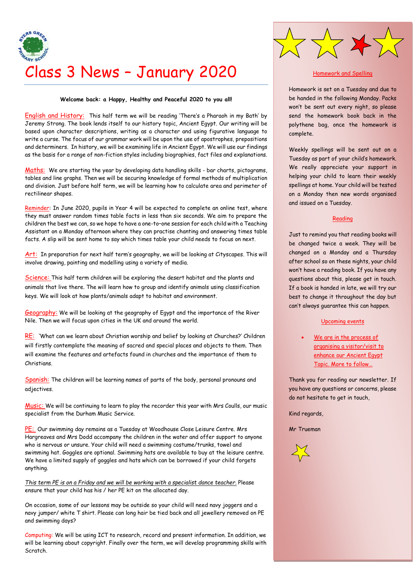

## **Welcome back: a Happy, Healthy and Peaceful 2020 to you all!**

English and History: This half term we will be reading 'There's a Pharaoh in my Bath' by Jeremy Strong. The book lends itself to our history topic, Ancient Egypt. Our writing will be based upon character descriptions, writing as a character and using figurative language to write a curse. The focus of our grammar work will be upon the use of apostrophes, prepositions and determiners. In history, we will be examining life in Ancient Egypt. We will use our findings as the basis for a range of non-fiction styles including biographies, fact files and explanations.

Maths: We are starting the year by developing data handling skills - bar charts, pictograms, tables and line graphs. Then we will be securing knowledge of formal methods of multiplication and division. Just before half term, we will be learning how to calculate area and perimeter of rectilinear shapes.

Reminder: In June 2020, pupils in Year 4 will be expected to complete an online test, where they must answer random times table facts in less than six seconds. We aim to prepare the children the best we can, so we hope to have a one-to–one session for each child with a Teaching Assistant on a Monday afternoon where they can practise chanting and answering times table facts. A slip will be sent home to say which times table your child needs to focus on next.

Art: In preparation for next half term's geography, we will be looking at Cityscapes. This will involve drawing, painting and modelling using a variety of media.

Science: This half term children will be exploring the desert habitat and the plants and animals that live there. The will learn how to group and identify animals using classification keys. We will look at how plants/animals adapt to habitat and environment.

Geography: We will be looking at the geography of Egypt and the importance of the River Nile. Then we will focus upon cities in the UK and around the world.

RE: 'What can we learn about Christian worship and belief by looking at Churches?' Children will firstly contemplate the meaning of sacred and special places and objects to them. Then will examine the features and artefacts found in churches and the importance of them to Christians.

Spanish: The children will be learning names of parts of the body, personal pronouns and adjectives.

Music: We will be continuing to learn to play the recorder this year with Mrs Coulls, our music specialist from the Durham Music Service.

PE: Our swimming day remains as a Tuesday at Woodhouse Close Leisure Centre. Mrs Hargreaves and Mrs Dodd accompany the children in the water and offer support to anyone who is nervous or unsure. Your child will need a swimming costume/trunks, towel and swimming hat. Goggles are optional. Swimming hats are available to buy at the leisure centre. We have a limited supply of goggles and hats which can be borrowed if your child forgets anything.

*This term PE is on a Friday and we will be working with a specialist dance teacher.* Please ensure that your child has his / her PE kit on the allocated day.

On occasion, some of our lessons may be outside so your child will need navy joggers and a navy jumper/ white T shirt. Please can long hair be tied back and all jewellery removed on PE and swimming days?

Computing: We will be using ICT to research, record and present information. In addition, we will be learning about copyright. Finally over the term, we will develop programming skills with Scratch.

## Homework and Spelling

 $>$   $\geq$ 

Homework is set on a Tuesday and due to be handed in the following Monday. Packs won't be sent out every night, so please send the homework book back in the polythene bag, once the homework is complete.

Weekly spellings will be sent out on a Tuesday as part of your child's homework. We really appreciate your support in helping your child to learn their weekly spellings at home. Your child will be tested on a Monday then new words organised and issued on a Tuesday.

## Reading

Just to remind you that reading books will be changed twice a week. They will be changed on a Monday and a Thursday after school so on these nights, your child won't have a reading book. If you have any questions about this, please get in touch. If a book is handed in late, we will try our best to change it throughout the day but can't always guarantee this can happen.

## Upcoming events

We are in the process of organising a visitor/visit to enhance our Ancient Egypt Topic. More to follow…

Thank you for reading our newsletter. If you have any questions or concerns, please do not hesitate to get in touch,

Kind regards,

Mr Trueman